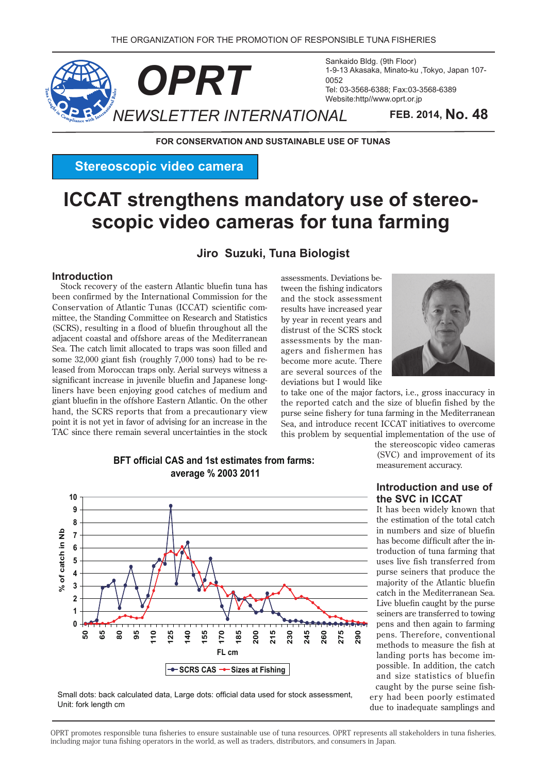

Sankaido Bldg. (9th Floor) 1-9-13 Akasaka, Minato-ku, Tokyo, Japan 107-Tel: 03-3568-6388: Fax: 03-3568-6389 Website:http//www.oprt.or.jp

**FOR CONSERVATION AND SUSTAINABLE USE OF TUNAS** 

**Stereoscopic video camera** 

# **scopic video cameras for tuna farming ICCAT** strengthens mandatory use of stereo-

### **Jiro Suzuki, Tuna Biologist**

#### **Introduction**

Stock recovery of the eastern Atlantic bluefin tuna has been confirmed by the International Commission for the mittee, the Standing Committee on Research and Statistics Conservation of Atlantic Tunas (ICCAT) scientific com- $(SCRS)$ , resulting in a flood of bluefin throughout all the adjacent coastal and offshore areas of the Mediterranean Sea. The catch limit allocated to traps was soon filled and leased from Moroccan traps only. Aerial surveys witness a some 32,000 giant fish (roughly 7,000 tons) had to be reliners have been enjoying good catches of medium and significant increase in juvenile bluefin and Japanese longgiant bluefin in the offshore Eastern Atlantic. On the other hand, the SCRS reports that from a precautionary view point it is not yet in favor of advising for an increase in the TAC since there remain several uncertainties in the stock tween the fishing indicators assessments. Deviations beand the stock assessment results have increased year by year in recent years and distrust of the SCRS stock agers and fishermen has assessments by the manbecome more acute. There are several sources of the deviations but I would like



to take one of the major factors, i.e., gross inaccuracy in the reported catch and the size of bluefin fished by the purse seine fishery for tuna farming in the Mediterranean Sea, and introduce recent ICCAT initiatives to overcome this problem by sequential implementation of the use of



**BFT official CAS and 1st estimates from farms: 2011 2003 % average** 

the stereoscopic video cameras (SVC) and improvement of its measurement accuracy.

#### **Introduction and use of In SVC in ICCAT**

It has been widely known that the estimation of the total catch in numbers and size of bluefin troduction of tuna farming that has become difficult after the inuses live fish transferred from purse seiners that produce the majority of the Atlantic bluefin catch in the Mediterranean Sea. Live bluefin caught by the purse seiners are transferred to towing pens and then again to farming pens. Therefore, conventional methods to measure the fish at possible. In addition, the catch landing ports has become imand size statistics of bluefin ery had been poorly estimated caught by the purse seine fishdue to inadequate samplings and

Small dots: back calculated data, Large dots: official data used for stock assessment, Unit: fork length cm

OPRT promotes responsible tuna fisheries to ensure sustainable use of tuna resources. OPRT represents all stakeholders in tuna fisheries, including major tuna fishing operators in the world, as well as traders, distributors, and consumers in Japan.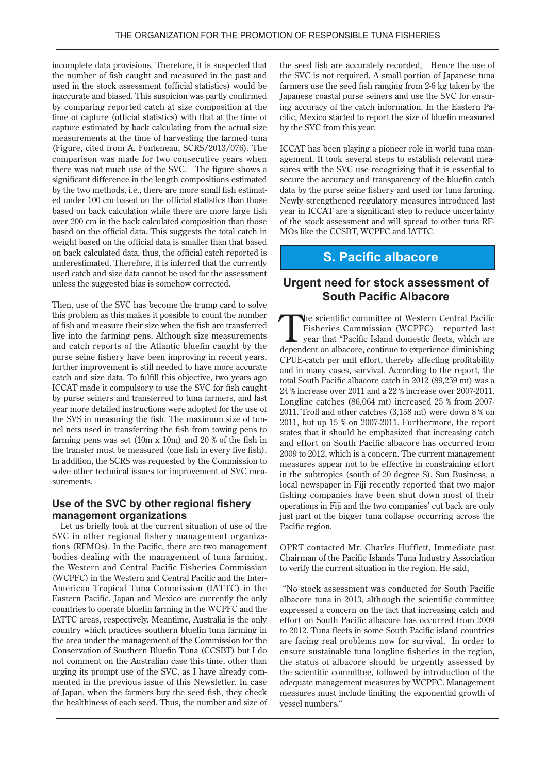incomplete data provisions. Therefore, it is suspected that the number of fish caught and measured in the past and used in the stock assessment (official statistics) would be inaccurate and biased. This suspicion was partly confirmed by comparing reported catch at size composition at the time of capture (official statistics) with that at the time of capture estimated by back calculating from the actual size measurements at the time of harvesting the farmed tuna (Figure, cited from A. Fonteneau,  $SCRS/2013/076$ ). The comparison was made for two consecutive years when there was not much use of the SVC. The figure shows a significant difference in the length compositions estimated ed under 100 cm based on the official statistics than those by the two methods, i.e., there are more small fish estimatbased on back calculation while there are more large fish over 200 cm in the back calculated composition than those based on the official data. This suggests the total catch in weight based on the official data is smaller than that based on back calculated data, thus, the official catch reported is underestimated. Therefore, it is inferred that the currently used catch and size data cannot be used for the assessment unless the suggested bias is somehow corrected.

Then, use of the SVC has become the trump card to solve this problem as this makes it possible to count the number of fish and measure their size when the fish are transferred live into the farming pens. Although size measurements and catch reports of the Atlantic bluefin caught by the purse seine fishery have been improving in recent years, further improvement is still needed to have more accurate catch and size data. To fulfill this objective, two years ago ICCAT made it compulsory to use the SVC for fish caught by purse seiners and transferred to tuna farmers, and last year more detailed instructions were adopted for the use of nel nets used in transferring the fish from towing pens to the SVS in measuring the fish. The maximum size of tunfarming pens was set  $(10m \times 10m)$  and  $20\%$  of the fish in the transfer must be measured (one fish in every five fish). In addition, the SCRS was requested by the Commission to solve other technical issues for improvement of SVC measurements.

#### **Use of the SVC by other regional fishery** management organizations

Let us briefly look at the current situation of use of the tions (RFMOs). In the Pacific, there are two management SVC in other regional fishery management organizabodies dealing with the management of tuna farming, the Western and Central Pacific Fisheries Commission American Tropical Tuna Commission (IATTC) in the (WCPFC) in the Western and Central Pacific and the Inter-Eastern Pacific. Japan and Mexico are currently the only countries to operate bluefin farming in the WCPFC and the IATTC areas, respectively. Meantime, Australia is the only country which practices southern bluefin tuna farming in the area under the management of the Commission for the Conservation of Southern Bluefin Tuna (CCSBT) but I do not comment on the Australian case this time, other than mented in the previous issue of this Newsletter. In case all urging its prompt use of the SVC, as I have already comof Japan, when the farmers buy the seed fish, they check the healthiness of each seed. Thus, the number and size of the seed fish are accurately recorded. Hence the use of the SVC is not required. A small portion of Japanese tuna farmers use the seed fish ranging from 2-6 kg taken by the ing accuracy of the catch information. In the Eastern Pacific, Mexico started to report the size of bluefin measured Japanese coastal purse seiners and use the SVC for ensuring accuracy of the catch information. In the Eastern Pa-Japanese coastal purse seiners and use the SVC for ensurby the SVC from this year.

sures with the SVC use recognizing that it is essential to agement. It took several steps to establish relevant mea-ICCAT has been playing a pioneer role in world tuna mansecure the accuracy and transparency of the bluefin catch data by the purse seine fishery and used for tuna farming. Newly strengthened regulatory measures introduced last year in ICCAT are a significant step to reduce uncertainty of the stock assessment and will spread to other tuna RF-<br>MOs like the CCSBT, WCPFC and IATTC.

## **S. Pacific albacore**

### **Urgent need for stock assessment of South Pacific Albacore**

The scientific committee of Western Central Pacific<br>Fisheries Commission (WCPFC) reported last<br>year that "Pacific Island domestic fleets, which are<br>donordent on albaoxy continue to experience diminishing Fisheries Commission (WCPFC) reported last year that "Pacific Island domestic fleets, which are dependent on albacore, continue to experience diminishing CPUE-catch per unit effort, thereby affecting profitability and in many cases, survival. According to the report, the total South Pacific albacore catch in 2012 (89,259 mt) was a  $24%$  increase over  $2011$  and a  $22%$  increase over  $2007-2011$ . Longline catches  $(86,064 \text{ mt})$  increased 25 % from 2007-2011. Troll and other catches  $(3,158 \text{ mt})$  were down  $8\%$  on 2011, but up 15  $%$  on 2007-2011. Furthermore, the report states that it should be emphasized that increasing catch and effort on South Pacific albacore has occurred from  $2009$  to  $2012$ , which is a concern. The current management measures appear not to be effective in constraining effort in the subtropics (south of 20 degree S). Sun Business, a local newspaper in Fiji recently reported that two major fishing companies have been shut down most of their operations in Fiji and the two companies' cut back are only just part of the bigger tuna collapse occurring across the Pacific region.

OPRT contacted Mr. Charles Hufflett, Immediate past Chairman of the Pacific Islands Tuna Industry Association to verify the current situation in the region. He said,

"No stock assessment was conducted for South Pacific albacore tuna in 2013, although the scientific committee expressed a concern on the fact that increasing catch and effort on South Pacific albacore has occurred from 2009 to 2012. Tuna fleets in some South Pacific island countries are facing real problems now for survival. In order to ensure sustainable tuna longline fisheries in the region, the status of albacore should be urgently assessed by the scientific committee, followed by introduction of the adequate management measures by WCPFC. Management measures must include limiting the exponential growth of vessel numbers."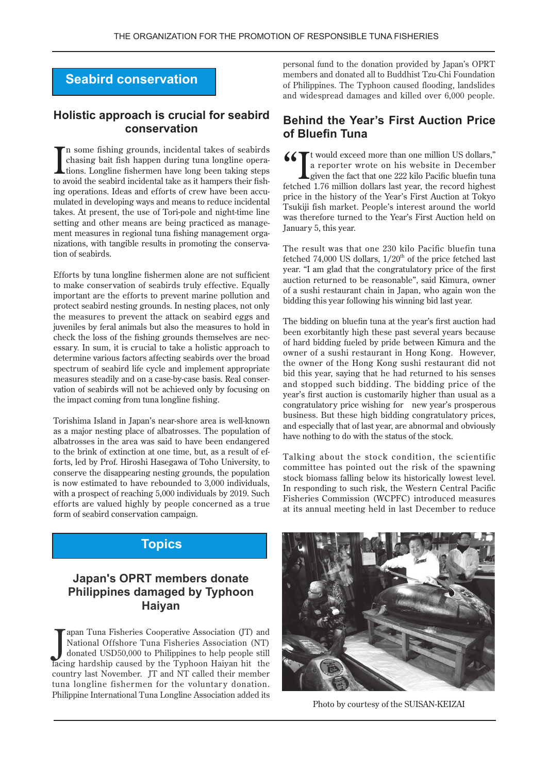# **Seabird conservation**

#### **Holistic approach is crucial for seabird conservation**

I In some fishing grounds, incidental takes of seabirds tions. Longline fishermen have long been taking steps chasing bait fish happen during tuna longline operaing operations. Ideas and efforts of crew have been accumulated in developing ways and means to reduce incidental to avoid the seabird incidental take as it hampers their fishing operations. Ideas and efforts of crew have been accutakes. At present, the use of Tori-pole and night-time line nizations, with tangible results in promoting the conservation of seabirds. ment measures in regional tuna fishing management organizations, with tangible results in promoting the conservament measures in regional tuna fishing management orgasetting and other means are being practiced as manage-

Efforts by tuna longline fishermen alone are not sufficient to make conservation of seabirds truly effective. Equally important are the efforts to prevent marine pollution and protect seabird nesting grounds. In nesting places, not only the measures to prevent the attack on seabird eggs and juveniles by feral animals but also the measures to hold in essary. In sum, it is crucial to take a holistic approach to check the loss of the fishing grounds themselves are necdetermine various factors affecting seabirds over the broad spectrum of seabird life cycle and implement appropriate vation of seabirds will not be achieved only by focusing on measures steadily and on a case-by-case basis. Real conserthe impact coming from tuna longline fishing.

Torishima Island in Japan's near-shore area is well-known as a major nesting place of albatrosses. The population of albatrosses in the area was said to have been endangered forts, led by Prof. Hiroshi Hasegawa of Toho University, to to the brink of extinction at one time, but, as a result of efconserve the disappearing nesting grounds, the population is now estimated to have rebounded to 3,000 individuals, with a prospect of reaching  $5,000$  individuals by 2019. Such efforts are valued highly by people concerned as a true form of seabird conservation campaign.

## **Topics**

## **Japan's OPRT members donate Philippines damaged by Typhoon Haiyan**

Japan Tuna Fisheries Cooperative Association (JT) and<br>National Offshore Tuna Fisheries Association (NT)<br>donated USD50,000 to Philippines to help people still<br>facing hardship caused by the Typhoon Haiyan hit the apan Tuna Fisheries Cooperative Association (JT) and National Offshore Tuna Fisheries Association (NT) donated USD50,000 to Philippines to help people still country last November. JT and NT called their member tuna longline fishermen for the voluntary donation. Philippine International Tuna Longline Association added its

personal fund to the donation provided by Japan's OPRT members and donated all to Buddhist Tzu-Chi Foundation of Philippines. The Typhoon caused flooding, landslides and widespread damages and killed over 6,000 people.

### **Behind the Year's First Auction Price of Bluefin Tuna**

K Tt would exceed more than one million US dollars," a reporter wrote on his website in December given the fact that one 222 kilo Pacific bluefin tuna. fetched 1.76 million dollars last year, the record highest price in the history of the Year's First Auction at Tokyo Tsukiji fish market. People's interest around the world was therefore turned to the Year's First Auction held on January 5, this year.

The result was that one 230 kilo Pacific bluefin tuna fetched 74,000 US dollars,  $1/20<sup>th</sup>$  of the price fetched last year. "I am glad that the congratulatory price of the first auction returned to be reasonable", said Kimura, owner of a sushi restaurant chain in Japan, who again won the bidding this year following his winning bid last year.

The bidding on bluefin tuna at the year's first auction had been exorbitantly high these past several years because of hard bidding fueled by pride between Kimura and the owner of a sushi restaurant in Hong Kong. However, the owner of the Hong Kong sushi restaurant did not bid this vear, saying that he had returned to his senses and stopped such bidding. The bidding price of the year's first auction is customarily higher than usual as a congratulatory price wishing for new year's prosperous business. But these high bidding congratulatory prices, and especially that of last year, are abnormal and obviously have nothing to do with the status of the stock.

Talking about the stock condition, the scientific committee has pointed out the risk of the spawning stock biomass falling below its historically lowest level. In responding to such risk, the Western Central Pacific Fisheries Commission (WCPFC) introduced measures at its annual meeting held in last December to reduce



Photo by courtesy of the SUISAN-KEIZAI